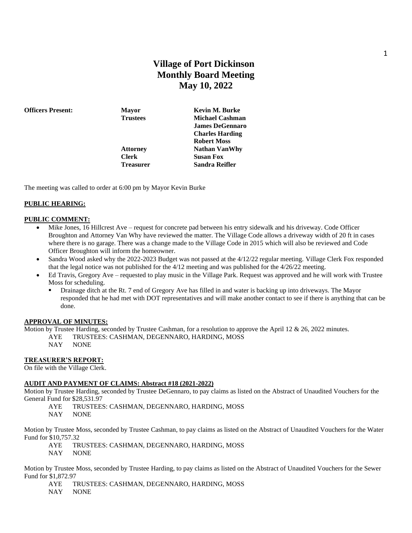## **Village of Port Dickinson Monthly Board Meeting May 10, 2022**

**Clerk Susan Fox**

**Officers Present: Mayor Kevin M. Burke Trustees Michael Cashman James DeGennaro Charles Harding Robert Moss Attorney Nathan VanWhy Treasurer Sandra Reifler**

The meeting was called to order at 6:00 pm by Mayor Kevin Burke

## **PUBLIC HEARING:**

#### **PUBLIC COMMENT:**

- Mike Jones, 16 Hillcrest Ave request for concrete pad between his entry sidewalk and his driveway. Code Officer Broughton and Attorney Van Why have reviewed the matter. The Village Code allows a driveway width of 20 ft in cases where there is no garage. There was a change made to the Village Code in 2015 which will also be reviewed and Code Officer Broughton will inform the homeowner.
- Sandra Wood asked why the 2022-2023 Budget was not passed at the 4/12/22 regular meeting. Village Clerk Fox responded that the legal notice was not published for the 4/12 meeting and was published for the 4/26/22 meeting.
- Ed Travis, Gregory Ave requested to play music in the Village Park. Request was approved and he will work with Trustee Moss for scheduling.
	- Drainage ditch at the Rt. 7 end of Gregory Ave has filled in and water is backing up into driveways. The Mayor responded that he had met with DOT representatives and will make another contact to see if there is anything that can be done.

### **APPROVAL OF MINUTES:**

Motion by Trustee Harding, seconded by Trustee Cashman, for a resolution to approve the April 12 & 26, 2022 minutes.

- AYE TRUSTEES: CASHMAN, DEGENNARO, HARDING, MOSS
	- NAY NONE

### **TREASURER'S REPORT:**

On file with the Village Clerk.

## **AUDIT AND PAYMENT OF CLAIMS: Abstract #18 (2021-2022)**

Motion by Trustee Harding, seconded by Trustee DeGennaro, to pay claims as listed on the Abstract of Unaudited Vouchers for the General Fund for \$28,531.97

AYE TRUSTEES: CASHMAN, DEGENNARO, HARDING, MOSS NAY NONE

Motion by Trustee Moss, seconded by Trustee Cashman, to pay claims as listed on the Abstract of Unaudited Vouchers for the Water Fund for \$10,757.32

AYE TRUSTEES: CASHMAN, DEGENNARO, HARDING, MOSS

NAY NONE

Motion by Trustee Moss, seconded by Trustee Harding, to pay claims as listed on the Abstract of Unaudited Vouchers for the Sewer Fund for \$1,872.97

- AYE TRUSTEES: CASHMAN, DEGENNARO, HARDING, MOSS
- NAY NONE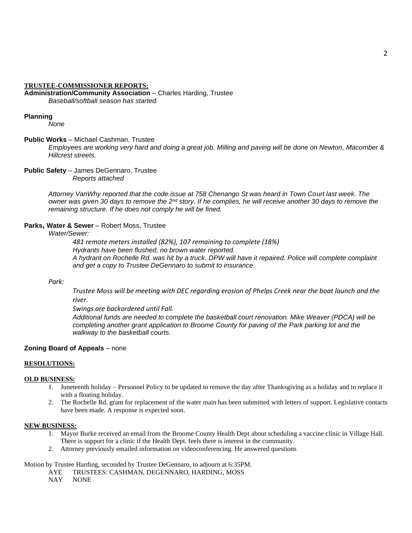#### **TRUSTEE-COMMISSIONER REPORTS:**

**Administration/Community Association** – Charles Harding, Trustee *Baseball/softball season has started.* 

#### **Planning**

*None*

#### **Public Works** – Michael Cashman, Trustee

*Employees are working very hard and doing a great job. Milling and paving will be done on Newton, Macomber & Hillcrest streets.*

**Public Safety** – James DeGennaro, Trustee *Reports attached*

> *Attorney VanWhy reported that the code issue at 758 Chenango St was heard in Town Court last week. The owner was given 30 days to remove the 2nd story. If he complies, he will receive another 30 days to remove the remaining structure. If he does not comply he will be fined.*

## **Parks, Water & Sewer** – Robert Moss, Trustee

## *Water/Sewer:*

*481 remote meters installed (82%), 107 remaining to complete (18%) Hydrants have been flushed, no brown water reported. A hydrant on Rochelle Rd. was hit by a truck. DPW will have it repaired. Police will complete complaint and get a copy to Trustee DeGennaro to submit to insurance.* 

### *Park:*

*Trustee Moss will be meeting with DEC regarding erosion of Phelps Creek near the boat launch and the river.* 

*Swings are backordered until Fall.*

*Additional funds are needed to complete the basketball court renovation. Mike Weaver (PDCA) will be completing another grant application to Broome County for paving of the Park parking lot and the walkway to the basketball courts.* 

### **Zoning Board of Appeals** – none

#### **RESOLUTIONS:**

#### **OLD BUSINESS:**

- 1. Juneteenth holiday Personnel Policy to be updated to remove the day after Thanksgiving as a holiday and to replace it with a floating holiday.
- 2. The Rochelle Rd. grant for replacement of the water main has been submitted with letters of support. Legislative contacts have been made. A response is expected soon.

#### **NEW BUSINESS:**

- 1. Mayor Burke received an email from the Broome County Health Dept about scheduling a vaccine clinic in Village Hall. There is support for a clinic if the Health Dept. feels there is interest in the community.
- 2. Attorney previously emailed information on videoconferencing. He answered questions

Motion by Trustee Harding, seconded by Trustee DeGennaro, to adjourn at 6:35PM.

AYE TRUSTEES: CASHMAN, DEGENNARO, HARDING, MOSS

NAY NONE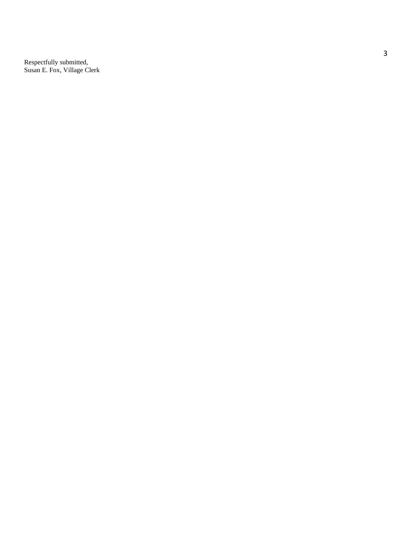Respectfully submitted, Susan E. Fox, Village Clerk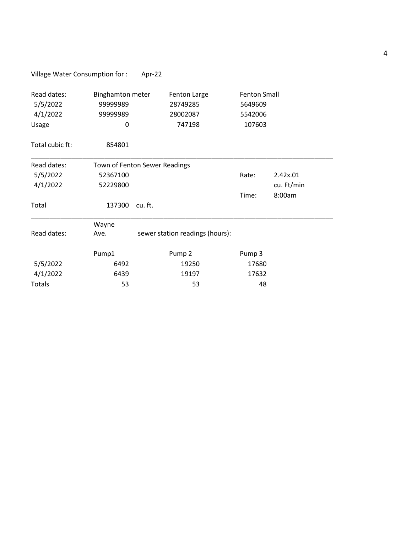|  | Village Water Consumption for : | Apr-22 |
|--|---------------------------------|--------|
|--|---------------------------------|--------|

| Read dates:<br>5/5/2022<br>4/1/2022<br>Usage | Binghamton meter<br>9999989<br>99999989<br>0 | <b>Fenton Large</b><br>28749285<br>28002087<br>747198 | <b>Fenton Small</b><br>5649609<br>5542006<br>107603 |            |
|----------------------------------------------|----------------------------------------------|-------------------------------------------------------|-----------------------------------------------------|------------|
| Total cubic ft:                              | 854801                                       |                                                       |                                                     |            |
| Read dates:<br>Town of Fenton Sewer Readings |                                              |                                                       |                                                     |            |
| 5/5/2022                                     | 52367100                                     |                                                       | Rate:                                               | 2.42x.01   |
| 4/1/2022                                     | 52229800                                     |                                                       |                                                     | cu. Ft/min |
|                                              |                                              |                                                       | Time:                                               | 8:00am     |
| Total                                        | 137300                                       | cu. ft.                                               |                                                     |            |
|                                              | Wayne                                        |                                                       |                                                     |            |
| Read dates:                                  | Ave.                                         | sewer station readings (hours):                       |                                                     |            |
|                                              | Pump1                                        | Pump <sub>2</sub>                                     | Pump 3                                              |            |
| 5/5/2022                                     | 6492                                         | 19250                                                 | 17680                                               |            |
| 4/1/2022                                     | 6439                                         | 19197                                                 | 17632                                               |            |
| <b>Totals</b>                                | 53                                           | 53                                                    | 48                                                  |            |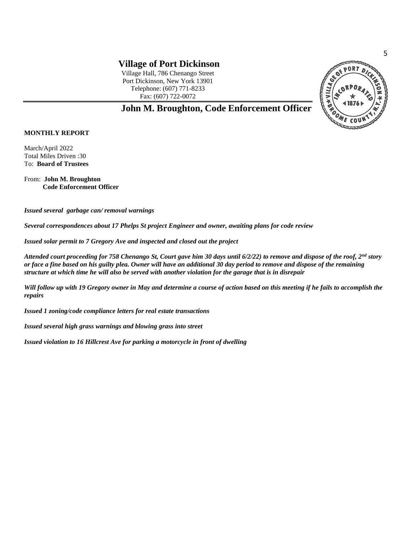# **Village of Port Dickinson**

Village Hall, 786 Chenango Street Port Dickinson, New York 13901 Telephone: (607) 771-8233 Fax: (607) 722-0072



## **John M. Broughton, Code Enforcement Officer**

## **MONTHLY REPORT**

March/April 2022 Total Miles Driven :30 To: **Board of Trustees**

From: **John M. Broughton Code Enforcement Officer**

*Issued several garbage can/ removal warnings*

*Several correspondences about 17 Phelps St project Engineer and owner, awaiting plans for code review*

*Issued solar permit to 7 Gregory Ave and inspected and closed out the project*

*Attended court proceeding for 758 Chenango St, Court gave him 30 days until 6/2/22) to remove and dispose of the roof, 2nd story or face a fine based on his guilty plea. Owner will have an additional 30 day period to remove and dispose of the remaining structure at which time he will also be served with another violation for the garage that is in disrepair* 

*Will follow up with 19 Gregory owner in May and determine a course of action based on this meeting if he fails to accomplish the repairs*

*Issued 1 zoning/code compliance letters for real estate transactions*

*Issued several high grass warnings and blowing grass into street*

*Issued violation to 16 Hillcrest Ave for parking a motorcycle in front of dwelling*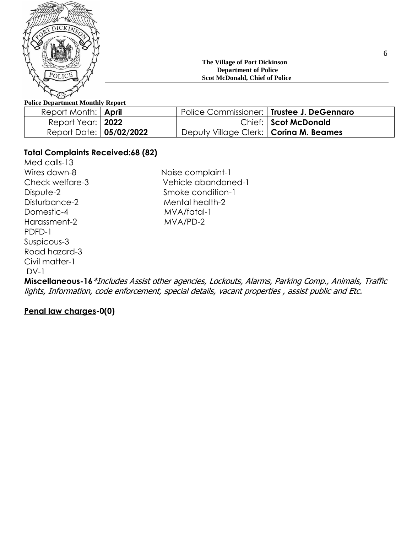

## **The Village of Port Dickinson Department of Police Scot McDonald, Chief of Police**

## **Police Department Monthly Report**

| Report Month:   <b>April</b> | Police Commissioner:   Trustee J. DeGennaro |                      |
|------------------------------|---------------------------------------------|----------------------|
| Report Year:   2022          |                                             | Chief: Scot McDonald |
| Report Date:   05/02/2022    | Deputy Village Clerk:   Corina M. Beames    |                      |

## **Total Complaints Received:68 (82)**

Med calls-13 Wires down-8 Noise complaint-1 Domestic-4 MVA/fatal-1 Harassment-2 MVA/PD-2 PDFD-1 Suspicous-3 Road hazard-3 Civil matter-1 DV-1

Check welfare-3 Vehicle abandoned-1 Dispute-2 Smoke condition-1 Disturbance-2 Mental health-2

**Miscellaneous-16**\*Includes Assist other agencies, Lockouts, Alarms, Parking Comp., Animals, Traffic lights, Information, code enforcement, special details, vacant properties , assist public and Etc.

## **Penal law charges-0(0)**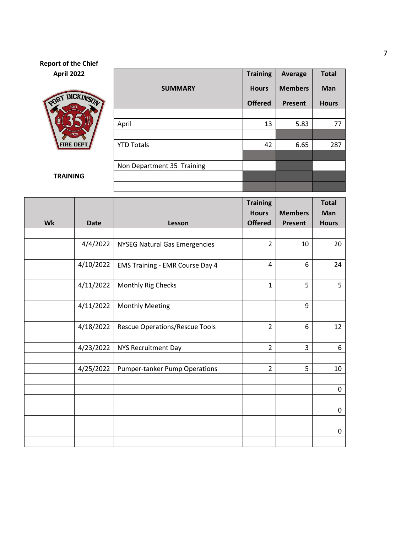# **Report of the Chief April 2022 Training Average Total SUMMARY Hours Members Man** PORT **DICKINS Offered Present Hours** April 13 5.83 77 FIRE DEPT.  $YTD \hspace{0.1cm} \text{Totals} \hspace{1.5cm} | \hspace{1.5cm} 42 \hspace{0.1cm} | \hspace{0.1cm} 6.65 \hspace{0.1cm} | \hspace{0.1cm} 287$ Non Department 35 Training **TRAINING**

|    |             |                                        | <b>Training</b> |                | <b>Total</b> |
|----|-------------|----------------------------------------|-----------------|----------------|--------------|
|    |             |                                        | <b>Hours</b>    | <b>Members</b> | Man          |
| Wk | <b>Date</b> | Lesson                                 | <b>Offered</b>  | Present        | <b>Hours</b> |
|    |             |                                        |                 |                |              |
|    | 4/4/2022    | <b>NYSEG Natural Gas Emergencies</b>   | $\overline{2}$  | 10             | 20           |
|    |             |                                        |                 |                |              |
|    | 4/10/2022   | <b>EMS Training - EMR Course Day 4</b> | $\overline{4}$  | 6              | 24           |
|    |             |                                        |                 |                |              |
|    | 4/11/2022   | Monthly Rig Checks                     | $\mathbf{1}$    | 5              | 5            |
|    |             |                                        |                 |                |              |
|    | 4/11/2022   | <b>Monthly Meeting</b>                 |                 | 9              |              |
|    |             |                                        |                 |                |              |
|    | 4/18/2022   | <b>Rescue Operations/Rescue Tools</b>  | $\overline{2}$  | 6              | 12           |
|    |             |                                        |                 |                |              |
|    | 4/23/2022   | <b>NYS Recruitment Day</b>             | $\overline{2}$  | 3              | 6            |
|    |             |                                        |                 |                |              |
|    | 4/25/2022   | <b>Pumper-tanker Pump Operations</b>   | $\overline{2}$  | 5              | 10           |
|    |             |                                        |                 |                |              |
|    |             |                                        |                 |                | $\pmb{0}$    |
|    |             |                                        |                 |                |              |
|    |             |                                        |                 |                | $\pmb{0}$    |
|    |             |                                        |                 |                |              |
|    |             |                                        |                 |                | $\pmb{0}$    |
|    |             |                                        |                 |                |              |